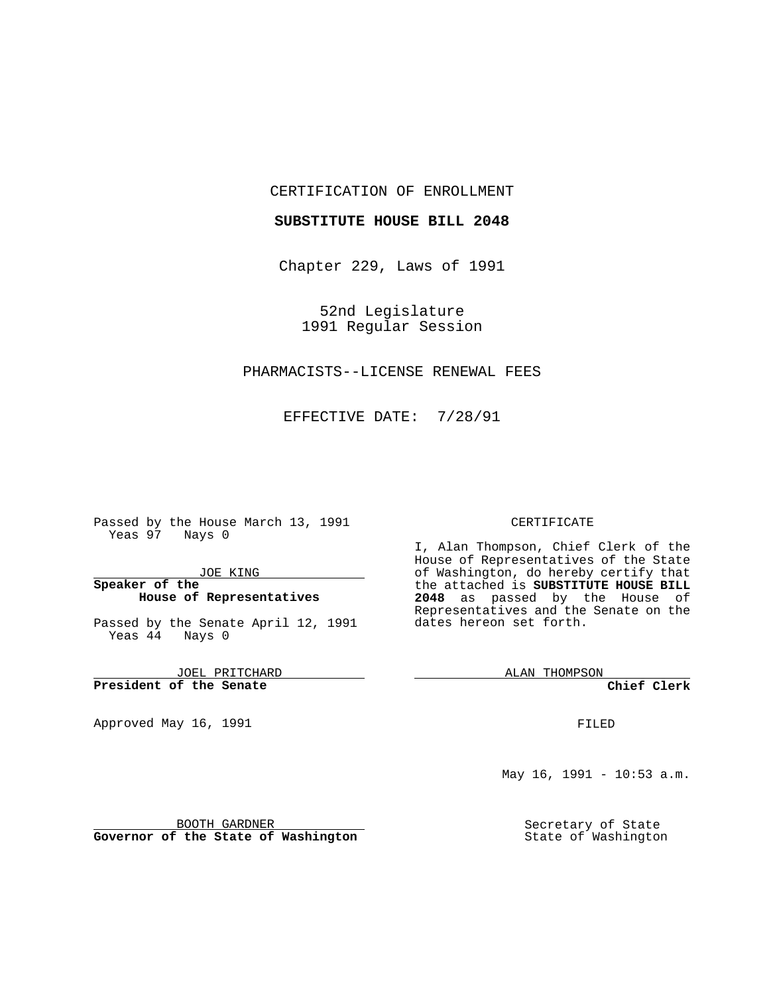#### CERTIFICATION OF ENROLLMENT

### **SUBSTITUTE HOUSE BILL 2048**

Chapter 229, Laws of 1991

52nd Legislature 1991 Regular Session

## PHARMACISTS--LICENSE RENEWAL FEES

EFFECTIVE DATE: 7/28/91

Passed by the House March 13, 1991 Yeas 97 Nays 0

JOE KING

## **Speaker of the House of Representatives**

Passed by the Senate April 12, 1991 Yeas 44 Nays 0

JOEL PRITCHARD **President of the Senate**

Approved May 16, 1991

#### CERTIFICATE

I, Alan Thompson, Chief Clerk of the House of Representatives of the State of Washington, do hereby certify that the attached is **SUBSTITUTE HOUSE BILL 2048** as passed by the House of Representatives and the Senate on the dates hereon set forth.

ALAN THOMPSON

**Chief Clerk**

FILED

May 16, 1991 - 10:53 a.m.

Secretary of State State of Washington

BOOTH GARDNER **Governor of the State of Washington**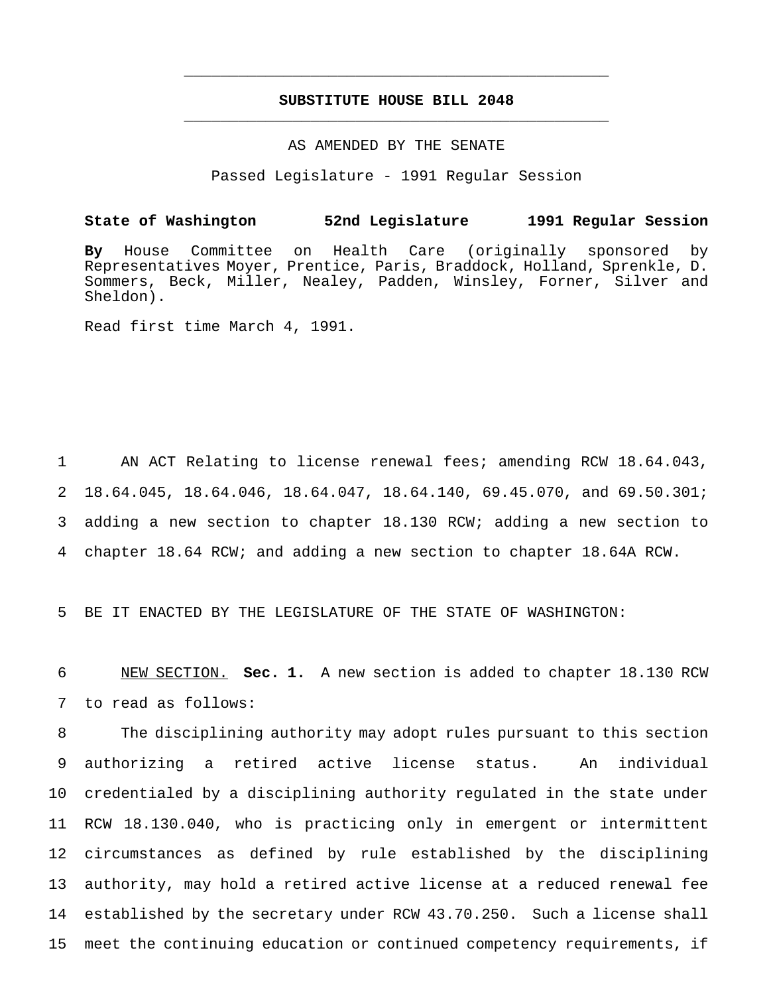# **SUBSTITUTE HOUSE BILL 2048** \_\_\_\_\_\_\_\_\_\_\_\_\_\_\_\_\_\_\_\_\_\_\_\_\_\_\_\_\_\_\_\_\_\_\_\_\_\_\_\_\_\_\_\_\_\_\_

\_\_\_\_\_\_\_\_\_\_\_\_\_\_\_\_\_\_\_\_\_\_\_\_\_\_\_\_\_\_\_\_\_\_\_\_\_\_\_\_\_\_\_\_\_\_\_

#### AS AMENDED BY THE SENATE

Passed Legislature - 1991 Regular Session

## **State of Washington 52nd Legislature 1991 Regular Session**

**By** House Committee on Health Care (originally sponsored by Representatives Moyer, Prentice, Paris, Braddock, Holland, Sprenkle, D. Sommers, Beck, Miller, Nealey, Padden, Winsley, Forner, Silver and Sheldon).

Read first time March 4, 1991.

 AN ACT Relating to license renewal fees; amending RCW 18.64.043, 18.64.045, 18.64.046, 18.64.047, 18.64.140, 69.45.070, and 69.50.301; adding a new section to chapter 18.130 RCW; adding a new section to chapter 18.64 RCW; and adding a new section to chapter 18.64A RCW.

5 BE IT ENACTED BY THE LEGISLATURE OF THE STATE OF WASHINGTON:

6 NEW SECTION. **Sec. 1.** A new section is added to chapter 18.130 RCW 7 to read as follows:

 The disciplining authority may adopt rules pursuant to this section authorizing a retired active license status. An individual credentialed by a disciplining authority regulated in the state under RCW 18.130.040, who is practicing only in emergent or intermittent circumstances as defined by rule established by the disciplining authority, may hold a retired active license at a reduced renewal fee established by the secretary under RCW 43.70.250. Such a license shall meet the continuing education or continued competency requirements, if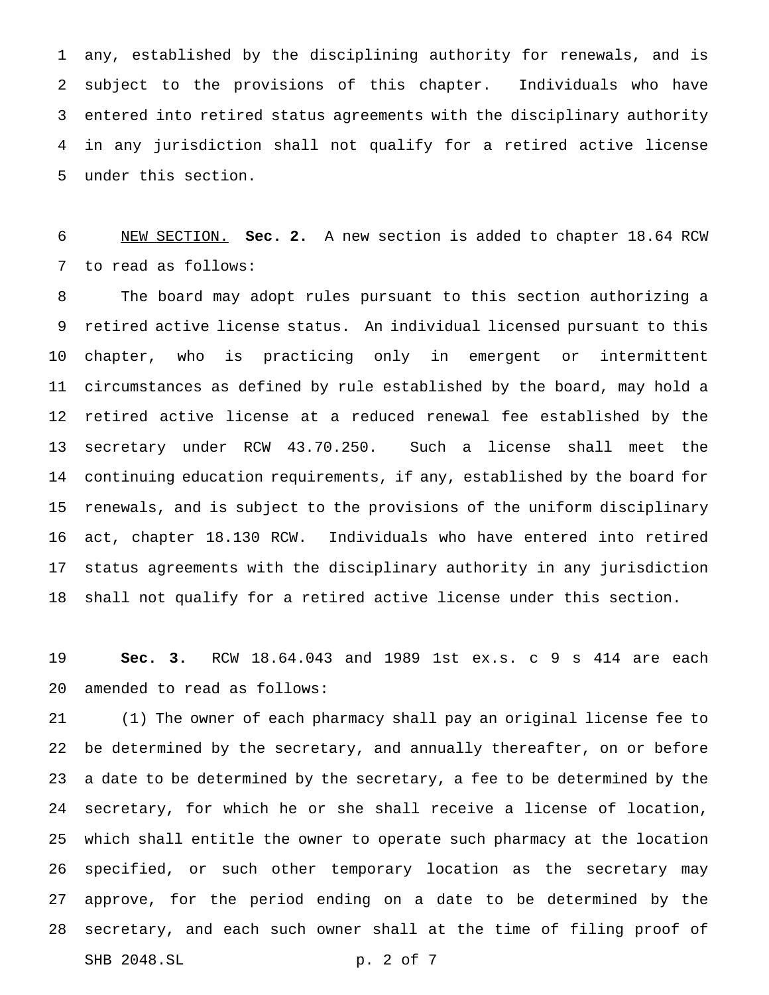any, established by the disciplining authority for renewals, and is subject to the provisions of this chapter. Individuals who have entered into retired status agreements with the disciplinary authority in any jurisdiction shall not qualify for a retired active license under this section.

 NEW SECTION. **Sec. 2.** A new section is added to chapter 18.64 RCW to read as follows:

 The board may adopt rules pursuant to this section authorizing a retired active license status. An individual licensed pursuant to this chapter, who is practicing only in emergent or intermittent circumstances as defined by rule established by the board, may hold a retired active license at a reduced renewal fee established by the secretary under RCW 43.70.250. Such a license shall meet the continuing education requirements, if any, established by the board for renewals, and is subject to the provisions of the uniform disciplinary act, chapter 18.130 RCW. Individuals who have entered into retired status agreements with the disciplinary authority in any jurisdiction shall not qualify for a retired active license under this section.

 **Sec. 3.** RCW 18.64.043 and 1989 1st ex.s. c 9 s 414 are each amended to read as follows:

 (1) The owner of each pharmacy shall pay an original license fee to be determined by the secretary, and annually thereafter, on or before a date to be determined by the secretary, a fee to be determined by the secretary, for which he or she shall receive a license of location, which shall entitle the owner to operate such pharmacy at the location specified, or such other temporary location as the secretary may approve, for the period ending on a date to be determined by the secretary, and each such owner shall at the time of filing proof of SHB 2048.SL p. 2 of 7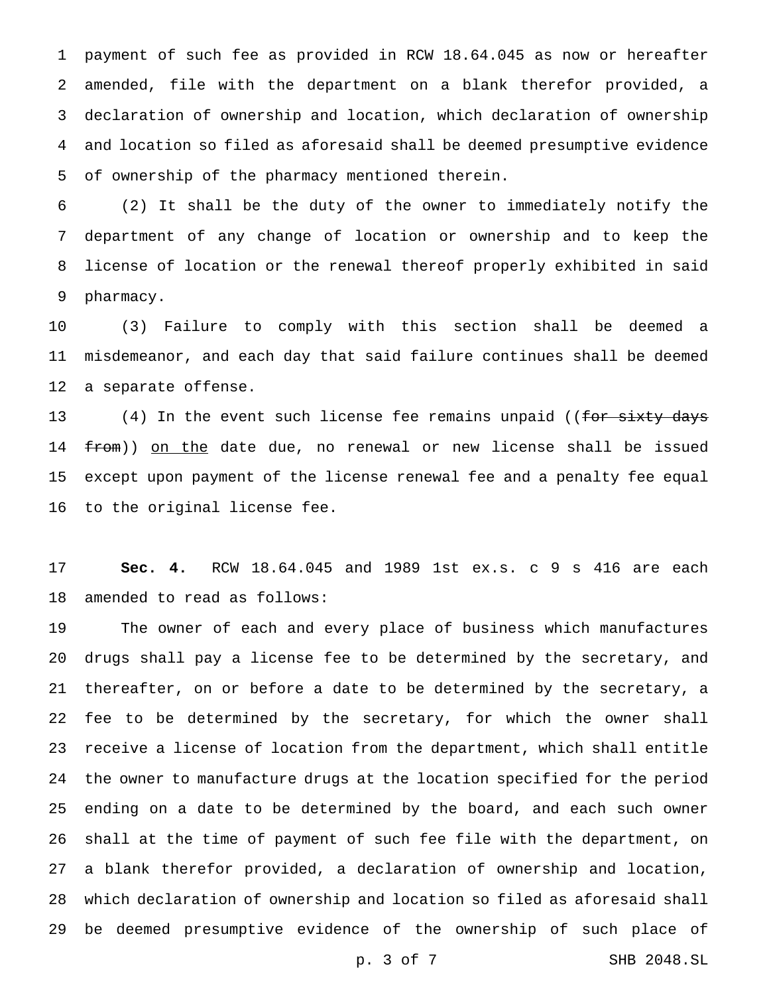payment of such fee as provided in RCW 18.64.045 as now or hereafter amended, file with the department on a blank therefor provided, a declaration of ownership and location, which declaration of ownership and location so filed as aforesaid shall be deemed presumptive evidence of ownership of the pharmacy mentioned therein.

 (2) It shall be the duty of the owner to immediately notify the department of any change of location or ownership and to keep the license of location or the renewal thereof properly exhibited in said pharmacy.

 (3) Failure to comply with this section shall be deemed a misdemeanor, and each day that said failure continues shall be deemed a separate offense.

13 (4) In the event such license fee remains unpaid ((<del>for sixty days</del> 14 <del>from</del>)) <u>on the</u> date due, no renewal or new license shall be issued except upon payment of the license renewal fee and a penalty fee equal to the original license fee.

 **Sec. 4.** RCW 18.64.045 and 1989 1st ex.s. c 9 s 416 are each amended to read as follows:

 The owner of each and every place of business which manufactures drugs shall pay a license fee to be determined by the secretary, and thereafter, on or before a date to be determined by the secretary, a fee to be determined by the secretary, for which the owner shall receive a license of location from the department, which shall entitle the owner to manufacture drugs at the location specified for the period ending on a date to be determined by the board, and each such owner shall at the time of payment of such fee file with the department, on a blank therefor provided, a declaration of ownership and location, which declaration of ownership and location so filed as aforesaid shall be deemed presumptive evidence of the ownership of such place of

p. 3 of 7 SHB 2048.SL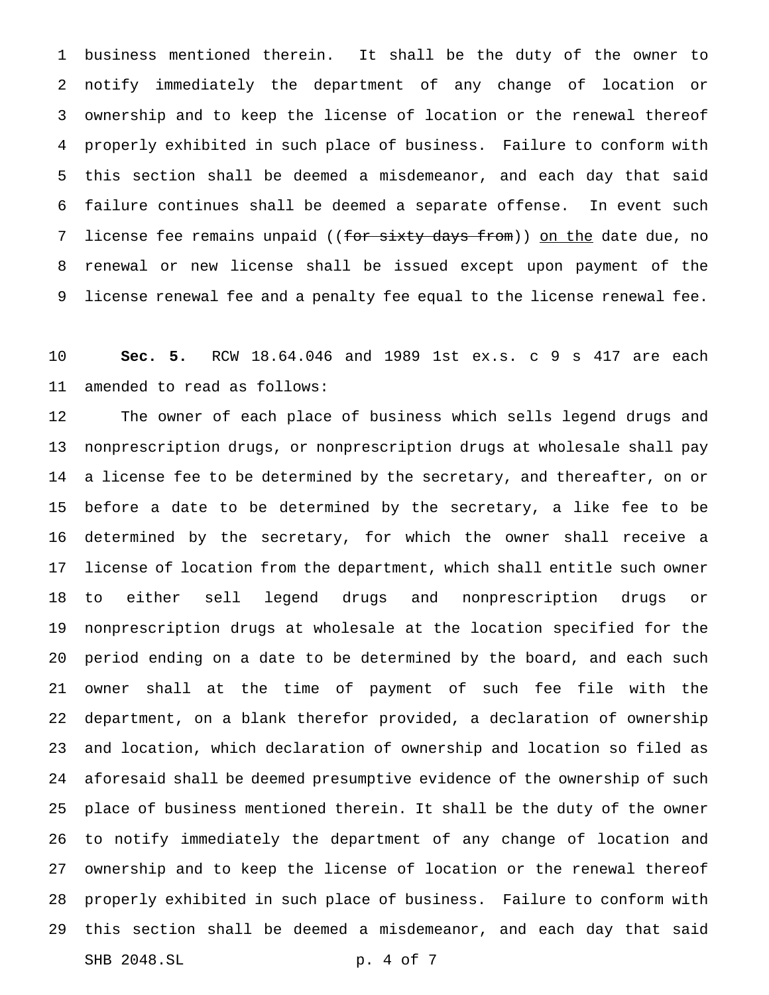business mentioned therein. It shall be the duty of the owner to notify immediately the department of any change of location or ownership and to keep the license of location or the renewal thereof properly exhibited in such place of business. Failure to conform with this section shall be deemed a misdemeanor, and each day that said failure continues shall be deemed a separate offense. In event such 7 license fee remains unpaid ((for sixty days from)) on the date due, no renewal or new license shall be issued except upon payment of the license renewal fee and a penalty fee equal to the license renewal fee.

 **Sec. 5.** RCW 18.64.046 and 1989 1st ex.s. c 9 s 417 are each amended to read as follows:

 The owner of each place of business which sells legend drugs and nonprescription drugs, or nonprescription drugs at wholesale shall pay a license fee to be determined by the secretary, and thereafter, on or before a date to be determined by the secretary, a like fee to be determined by the secretary, for which the owner shall receive a license of location from the department, which shall entitle such owner to either sell legend drugs and nonprescription drugs or nonprescription drugs at wholesale at the location specified for the period ending on a date to be determined by the board, and each such owner shall at the time of payment of such fee file with the department, on a blank therefor provided, a declaration of ownership and location, which declaration of ownership and location so filed as aforesaid shall be deemed presumptive evidence of the ownership of such place of business mentioned therein. It shall be the duty of the owner to notify immediately the department of any change of location and ownership and to keep the license of location or the renewal thereof properly exhibited in such place of business. Failure to conform with this section shall be deemed a misdemeanor, and each day that said SHB 2048.SL p. 4 of 7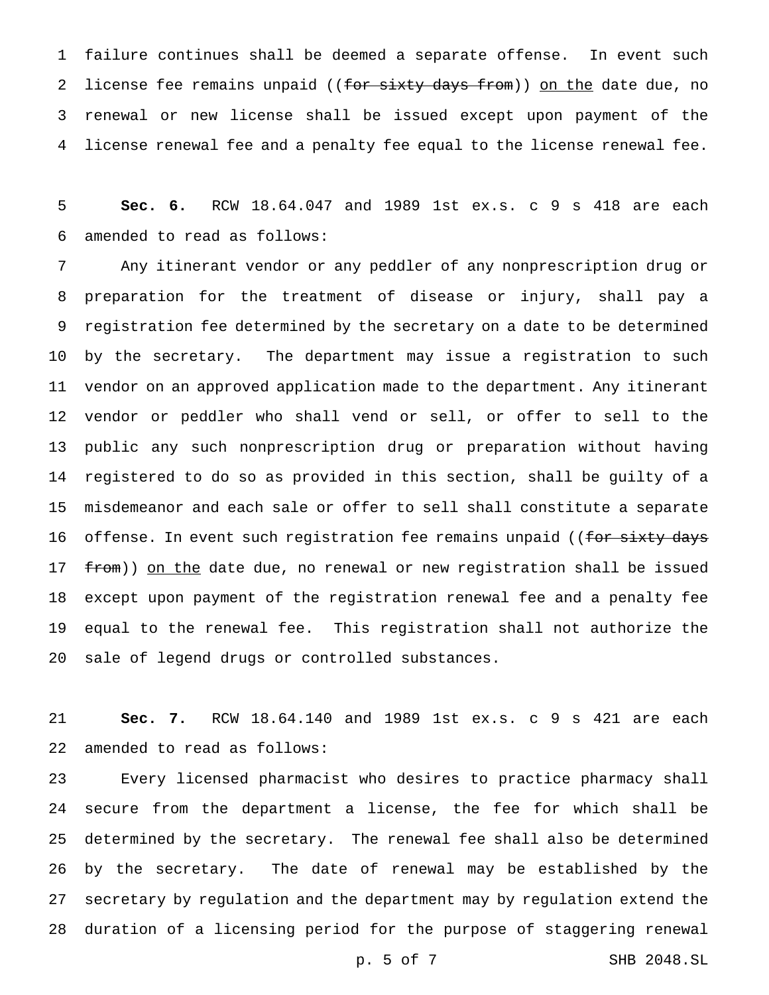failure continues shall be deemed a separate offense. In event such 2 license fee remains unpaid ((for sixty days from)) on the date due, no renewal or new license shall be issued except upon payment of the license renewal fee and a penalty fee equal to the license renewal fee.

 **Sec. 6.** RCW 18.64.047 and 1989 1st ex.s. c 9 s 418 are each amended to read as follows:

 Any itinerant vendor or any peddler of any nonprescription drug or preparation for the treatment of disease or injury, shall pay a registration fee determined by the secretary on a date to be determined by the secretary. The department may issue a registration to such vendor on an approved application made to the department. Any itinerant vendor or peddler who shall vend or sell, or offer to sell to the public any such nonprescription drug or preparation without having registered to do so as provided in this section, shall be guilty of a misdemeanor and each sale or offer to sell shall constitute a separate 16 offense. In event such registration fee remains unpaid ((for sixty days 17 from)) on the date due, no renewal or new registration shall be issued except upon payment of the registration renewal fee and a penalty fee equal to the renewal fee. This registration shall not authorize the sale of legend drugs or controlled substances.

 **Sec. 7.** RCW 18.64.140 and 1989 1st ex.s. c 9 s 421 are each amended to read as follows:

 Every licensed pharmacist who desires to practice pharmacy shall secure from the department a license, the fee for which shall be determined by the secretary. The renewal fee shall also be determined by the secretary. The date of renewal may be established by the secretary by regulation and the department may by regulation extend the duration of a licensing period for the purpose of staggering renewal

p. 5 of 7 SHB 2048.SL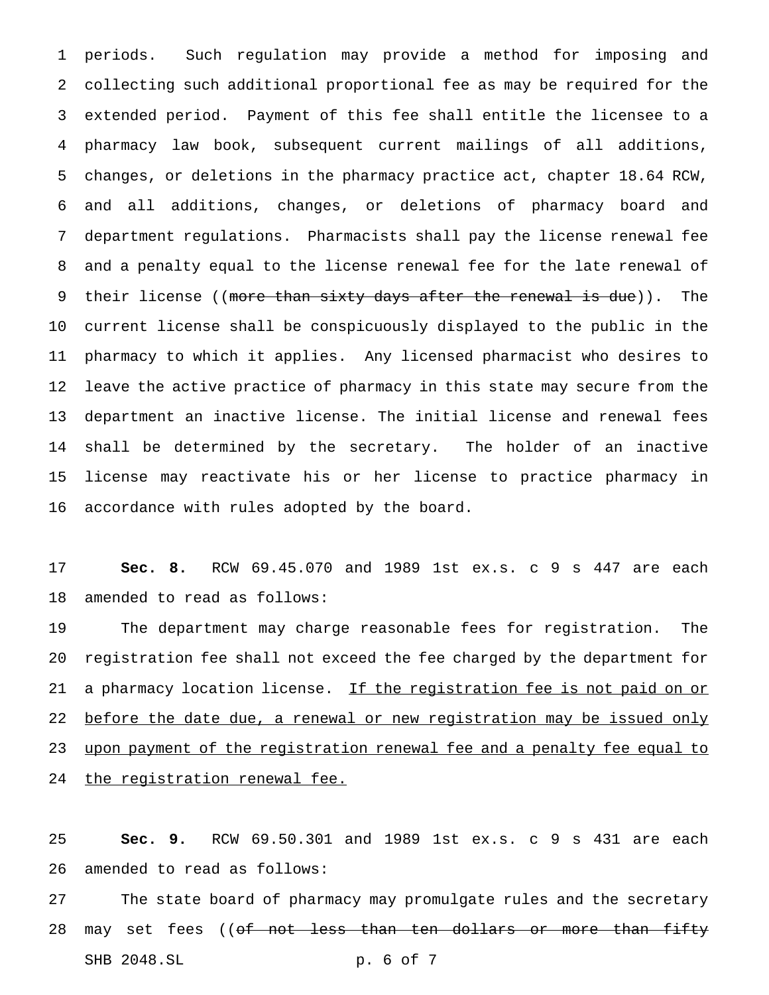periods. Such regulation may provide a method for imposing and collecting such additional proportional fee as may be required for the extended period. Payment of this fee shall entitle the licensee to a pharmacy law book, subsequent current mailings of all additions, changes, or deletions in the pharmacy practice act, chapter 18.64 RCW, and all additions, changes, or deletions of pharmacy board and department regulations. Pharmacists shall pay the license renewal fee and a penalty equal to the license renewal fee for the late renewal of 9 their license ((more than sixty days after the renewal is due)). The current license shall be conspicuously displayed to the public in the pharmacy to which it applies. Any licensed pharmacist who desires to leave the active practice of pharmacy in this state may secure from the department an inactive license. The initial license and renewal fees shall be determined by the secretary. The holder of an inactive license may reactivate his or her license to practice pharmacy in accordance with rules adopted by the board.

 **Sec. 8.** RCW 69.45.070 and 1989 1st ex.s. c 9 s 447 are each amended to read as follows:

 The department may charge reasonable fees for registration. The registration fee shall not exceed the fee charged by the department for 21 a pharmacy location license. If the registration fee is not paid on or 22 before the date due, a renewal or new registration may be issued only upon payment of the registration renewal fee and a penalty fee equal to 24 the registration renewal fee.

 **Sec. 9.** RCW 69.50.301 and 1989 1st ex.s. c 9 s 431 are each amended to read as follows:

 The state board of pharmacy may promulgate rules and the secretary 28 may set fees ((of not less than ten dollars or more than fifty SHB 2048.SL p. 6 of 7